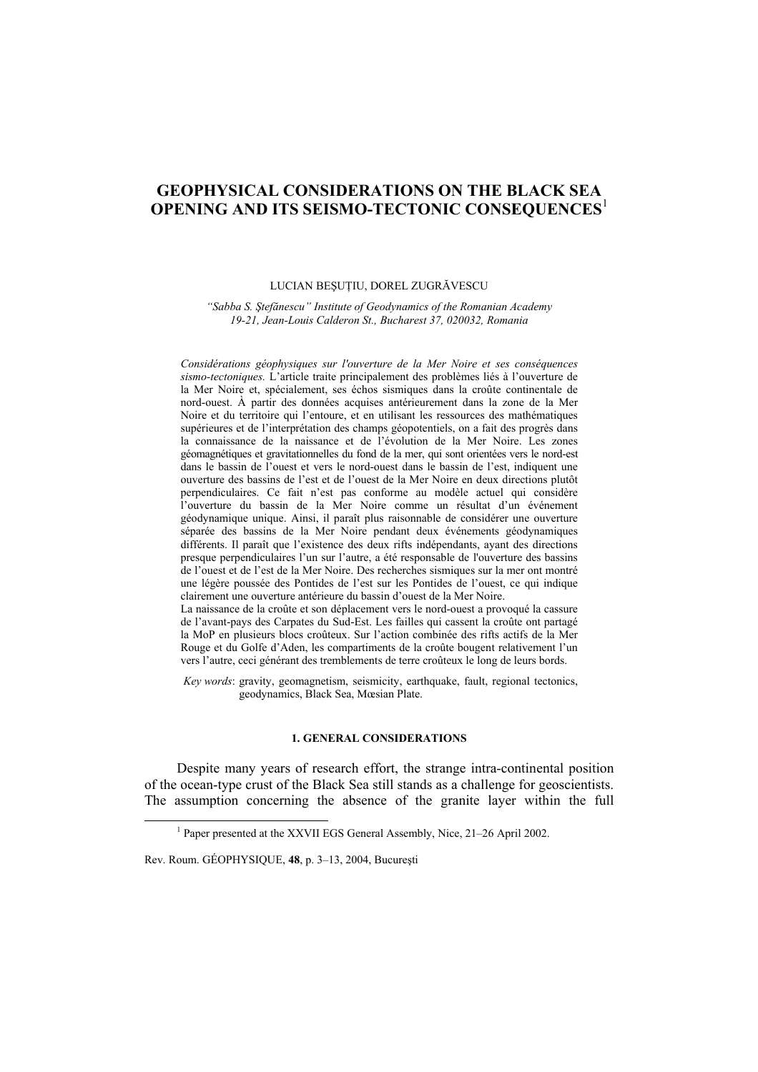# **GEOPHYSICAL CONSIDERATIONS ON THE BLACK SEA OPENING AND ITS SEISMO-TECTONIC CONSEQUENCES**<sup>1</sup>

## LUCIAN BEŞUŢIU, DOREL ZUGRĂVESCU

*"Sabba S. Ştefănescu" Institute of Geodynamics of the Romanian Academy 19-21, Jean-Louis Calderon St., Bucharest 37, 020032, Romania* 

*Considérations géophysiques sur l'ouverture de la Mer Noire et ses conséquences sismo-tectoniques.* L'article traite principalement des problèmes liés à l'ouverture de la Mer Noire et, spécialement, ses échos sismiques dans la croûte continentale de nord-ouest. À partir des données acquises antérieurement dans la zone de la Mer Noire et du territoire qui l'entoure, et en utilisant les ressources des mathématiques supérieures et de l'interprétation des champs géopotentiels, on a fait des progrès dans la connaissance de la naissance et de l'évolution de la Mer Noire. Les zones géomagnétiques et gravitationnelles du fond de la mer, qui sont orientées vers le nord-est dans le bassin de l'ouest et vers le nord-ouest dans le bassin de l'est, indiquent une ouverture des bassins de l'est et de l'ouest de la Mer Noire en deux directions plutôt perpendiculaires. Ce fait n'est pas conforme au modèle actuel qui considère l'ouverture du bassin de la Mer Noire comme un résultat d'un événement géodynamique unique. Ainsi, il paraît plus raisonnable de considérer une ouverture séparée des bassins de la Mer Noire pendant deux événements géodynamiques différents. Il paraît que l'existence des deux rifts indépendants, ayant des directions presque perpendiculaires l'un sur l'autre, a été responsable de l'ouverture des bassins de l'ouest et de l'est de la Mer Noire. Des recherches sismiques sur la mer ont montré une légère poussée des Pontides de l'est sur les Pontides de l'ouest, ce qui indique clairement une ouverture antérieure du bassin d'ouest de la Mer Noire.

La naissance de la croûte et son déplacement vers le nord-ouest a provoqué la cassure de l'avant-pays des Carpates du Sud-Est. Les failles qui cassent la croûte ont partagé la MoP en plusieurs blocs croûteux. Sur l'action combinée des rifts actifs de la Mer Rouge et du Golfe d'Aden, les compartiments de la croûte bougent relativement l'un vers l'autre, ceci générant des tremblements de terre croûteux le long de leurs bords.

*Key words*: gravity, geomagnetism, seismicity, earthquake, fault, regional tectonics, geodynamics, Black Sea, Mœsian Plate.

# **1. GENERAL CONSIDERATIONS**

Despite many years of research effort, the strange intra-continental position of the ocean-type crust of the Black Sea still stands as a challenge for geoscientists. The assumption concerning the absence of the granite layer within the full

 $\frac{1}{1}$ <sup>1</sup> Paper presented at the XXVII EGS General Assembly, Nice, 21–26 April 2002.

Rev. Roum. GÉOPHYSIQUE, **48**, p. 3–13, 2004, Bucureşti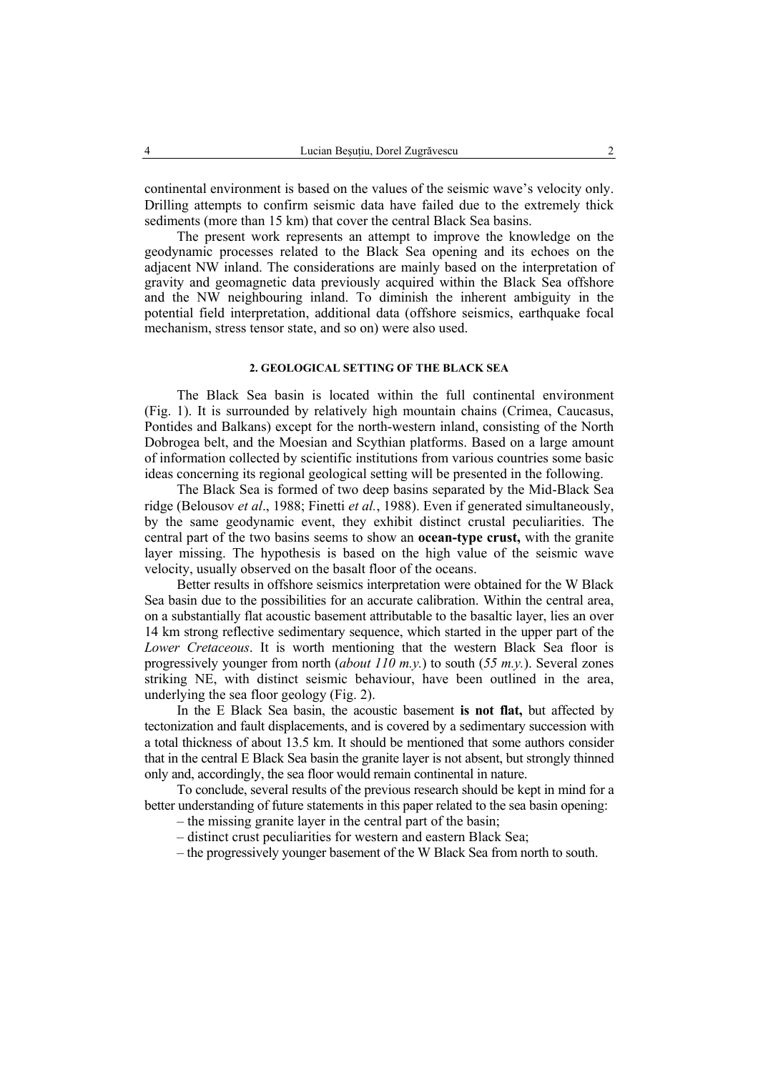continental environment is based on the values of the seismic wave's velocity only. Drilling attempts to confirm seismic data have failed due to the extremely thick sediments (more than 15 km) that cover the central Black Sea basins.

The present work represents an attempt to improve the knowledge on the geodynamic processes related to the Black Sea opening and its echoes on the adjacent NW inland. The considerations are mainly based on the interpretation of gravity and geomagnetic data previously acquired within the Black Sea offshore and the NW neighbouring inland. To diminish the inherent ambiguity in the potential field interpretation, additional data (offshore seismics, earthquake focal mechanism, stress tensor state, and so on) were also used.

# **2. GEOLOGICAL SETTING OF THE BLACK SEA**

The Black Sea basin is located within the full continental environment (Fig. 1). It is surrounded by relatively high mountain chains (Crimea, Caucasus, Pontides and Balkans) except for the north-western inland, consisting of the North Dobrogea belt, and the Moesian and Scythian platforms. Based on a large amount of information collected by scientific institutions from various countries some basic ideas concerning its regional geological setting will be presented in the following.

The Black Sea is formed of two deep basins separated by the Mid-Black Sea ridge (Belousov *et al*., 1988; Finetti *et al.*, 1988). Even if generated simultaneously, by the same geodynamic event, they exhibit distinct crustal peculiarities. The central part of the two basins seems to show an **ocean-type crust,** with the granite layer missing. The hypothesis is based on the high value of the seismic wave velocity, usually observed on the basalt floor of the oceans.

Better results in offshore seismics interpretation were obtained for the W Black Sea basin due to the possibilities for an accurate calibration. Within the central area, on a substantially flat acoustic basement attributable to the basaltic layer, lies an over 14 km strong reflective sedimentary sequence, which started in the upper part of the *Lower Cretaceous*. It is worth mentioning that the western Black Sea floor is progressively younger from north (*about 110 m.y.*) to south (*55 m.y.*). Several zones striking NE, with distinct seismic behaviour, have been outlined in the area, underlying the sea floor geology (Fig. 2).

In the E Black Sea basin, the acoustic basement **is not flat,** but affected by tectonization and fault displacements, and is covered by a sedimentary succession with a total thickness of about 13.5 km. It should be mentioned that some authors consider that in the central E Black Sea basin the granite layer is not absent, but strongly thinned only and, accordingly, the sea floor would remain continental in nature.

To conclude, several results of the previous research should be kept in mind for a better understanding of future statements in this paper related to the sea basin opening:

- the missing granite layer in the central part of the basin;
- distinct crust peculiarities for western and eastern Black Sea;
- the progressively younger basement of the W Black Sea from north to south.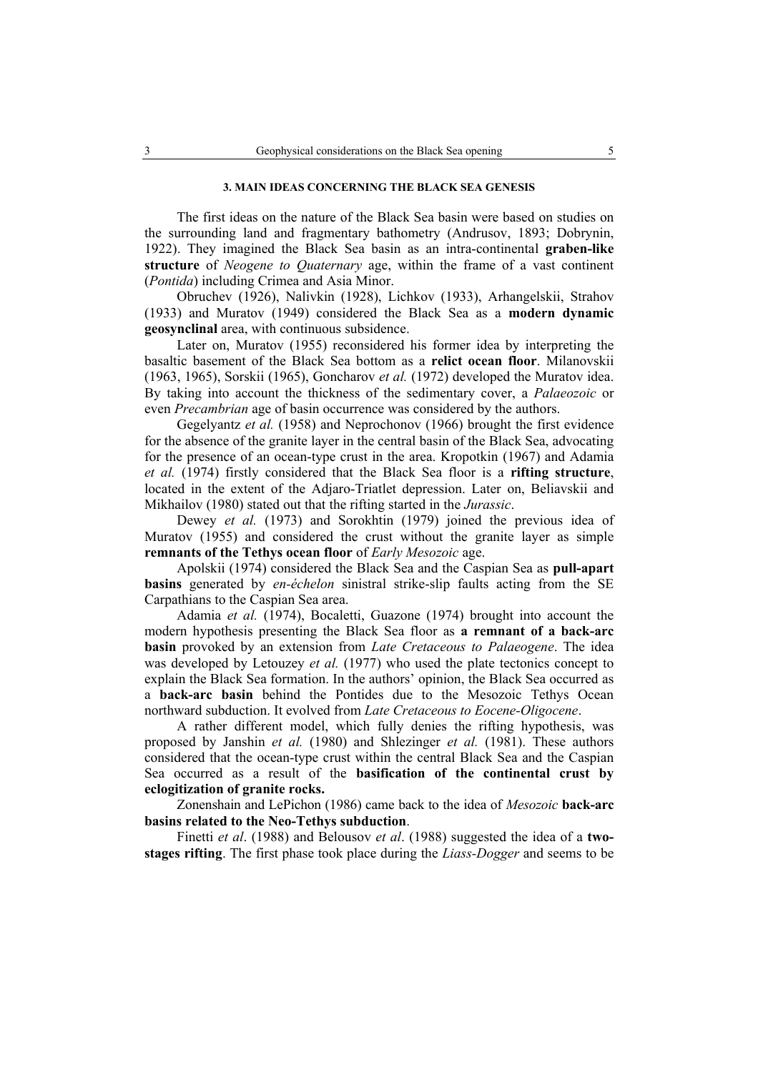## **3. MAIN IDEAS CONCERNING THE BLACK SEA GENESIS**

The first ideas on the nature of the Black Sea basin were based on studies on the surrounding land and fragmentary bathometry (Andrusov, 1893; Dobrynin, 1922). They imagined the Black Sea basin as an intra-continental **graben-like structure** of *Neogene to Quaternary* age, within the frame of a vast continent (*Pontida*) including Crimea and Asia Minor.

Obruchev (1926), Nalivkin (1928), Lichkov (1933), Arhangelskii, Strahov (1933) and Muratov (1949) considered the Black Sea as a **modern dynamic geosynclinal** area, with continuous subsidence.

Later on, Muratov (1955) reconsidered his former idea by interpreting the basaltic basement of the Black Sea bottom as a **relict ocean floor**. Milanovskii (1963, 1965), Sorskii (1965), Goncharov *et al.* (1972) developed the Muratov idea. By taking into account the thickness of the sedimentary cover, a *Palaeozoic* or even *Precambrian* age of basin occurrence was considered by the authors.

Gegelyantz *et al.* (1958) and Neprochonov (1966) brought the first evidence for the absence of the granite layer in the central basin of the Black Sea, advocating for the presence of an ocean-type crust in the area. Kropotkin (1967) and Adamia *et al.* (1974) firstly considered that the Black Sea floor is a **rifting structure**, located in the extent of the Adjaro-Triatlet depression. Later on, Beliavskii and Mikhailov (1980) stated out that the rifting started in the *Jurassic*.

Dewey *et al.* (1973) and Sorokhtin (1979) joined the previous idea of Muratov (1955) and considered the crust without the granite layer as simple **remnants of the Tethys ocean floor** of *Early Mesozoic* age.

Apolskii (1974) considered the Black Sea and the Caspian Sea as **pull-apart basins** generated by *en-échelon* sinistral strike-slip faults acting from the SE Carpathians to the Caspian Sea area.

Adamia *et al.* (1974), Bocaletti, Guazone (1974) brought into account the modern hypothesis presenting the Black Sea floor as **a remnant of a back-arc basin** provoked by an extension from *Late Cretaceous to Palaeogene*. The idea was developed by Letouzey *et al.* (1977) who used the plate tectonics concept to explain the Black Sea formation. In the authors' opinion, the Black Sea occurred as a **back-arc basin** behind the Pontides due to the Mesozoic Tethys Ocean northward subduction. It evolved from *Late Cretaceous to Eocene-Oligocene*.

A rather different model, which fully denies the rifting hypothesis, was proposed by Janshin *et al.* (1980) and Shlezinger *et al.* (1981). These authors considered that the ocean-type crust within the central Black Sea and the Caspian Sea occurred as a result of the **basification of the continental crust by eclogitization of granite rocks.**

Zonenshain and LePichon (1986) came back to the idea of *Mesozoic* **back-arc basins related to the Neo-Tethys subduction**.

Finetti *et al*. (1988) and Belousov *et al*. (1988) suggested the idea of a **twostages rifting**. The first phase took place during the *Liass-Dogger* and seems to be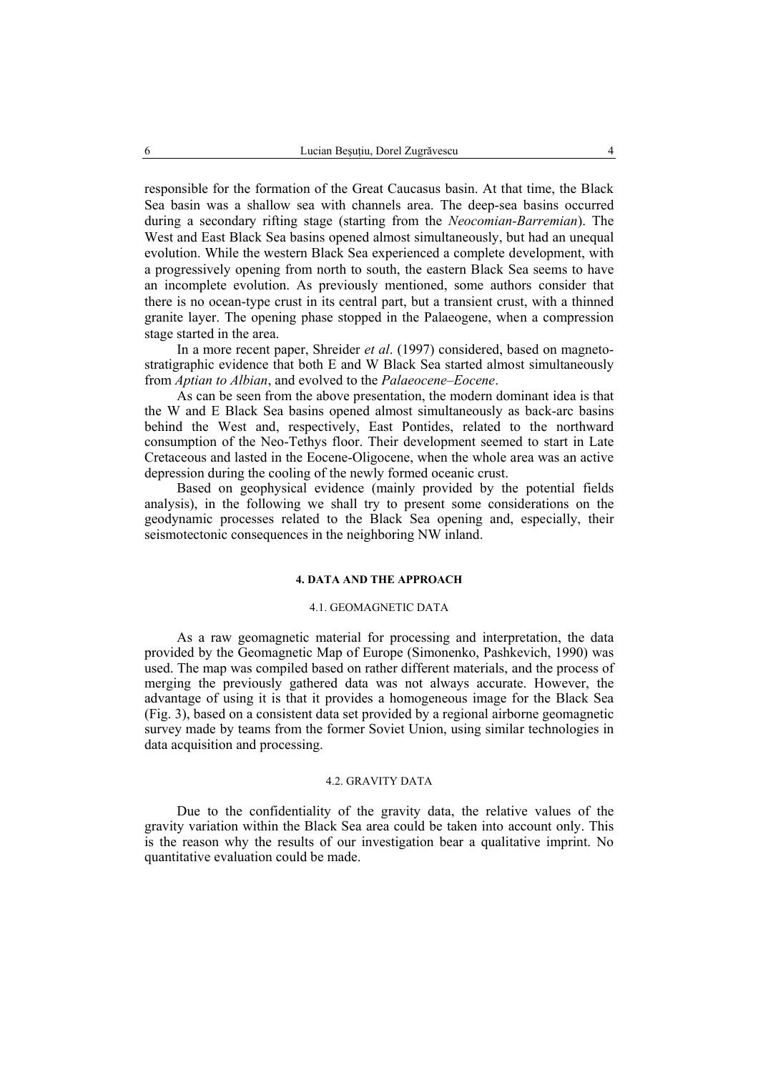responsible for the formation of the Great Caucasus basin. At that time, the Black Sea basin was a shallow sea with channels area. The deep-sea basins occurred during a secondary rifting stage (starting from the *Neocomian-Barremian*). The West and East Black Sea basins opened almost simultaneously, but had an unequal evolution. While the western Black Sea experienced a complete development, with a progressively opening from north to south, the eastern Black Sea seems to have an incomplete evolution. As previously mentioned, some authors consider that there is no ocean-type crust in its central part, but a transient crust, with a thinned granite layer. The opening phase stopped in the Palaeogene, when a compression stage started in the area.

In a more recent paper, Shreider *et al*. (1997) considered, based on magnetostratigraphic evidence that both E and W Black Sea started almost simultaneously from *Aptian to Albian*, and evolved to the *Palaeocene–Eocene*.

As can be seen from the above presentation, the modern dominant idea is that the W and E Black Sea basins opened almost simultaneously as back-arc basins behind the West and, respectively, East Pontides, related to the northward consumption of the Neo-Tethys floor. Their development seemed to start in Late Cretaceous and lasted in the Eocene-Oligocene, when the whole area was an active depression during the cooling of the newly formed oceanic crust.

Based on geophysical evidence (mainly provided by the potential fields analysis), in the following we shall try to present some considerations on the geodynamic processes related to the Black Sea opening and, especially, their seismotectonic consequences in the neighboring NW inland.

# **4. DATA AND THE APPROACH**

### 4.1. GEOMAGNETIC DATA

As a raw geomagnetic material for processing and interpretation, the data provided by the Geomagnetic Map of Europe (Simonenko, Pashkevich, 1990) was used. The map was compiled based on rather different materials, and the process of merging the previously gathered data was not always accurate. However, the advantage of using it is that it provides a homogeneous image for the Black Sea (Fig. 3), based on a consistent data set provided by a regional airborne geomagnetic survey made by teams from the former Soviet Union, using similar technologies in data acquisition and processing.

#### 4.2. GRAVITY DATA

Due to the confidentiality of the gravity data, the relative values of the gravity variation within the Black Sea area could be taken into account only. This is the reason why the results of our investigation bear a qualitative imprint. No quantitative evaluation could be made.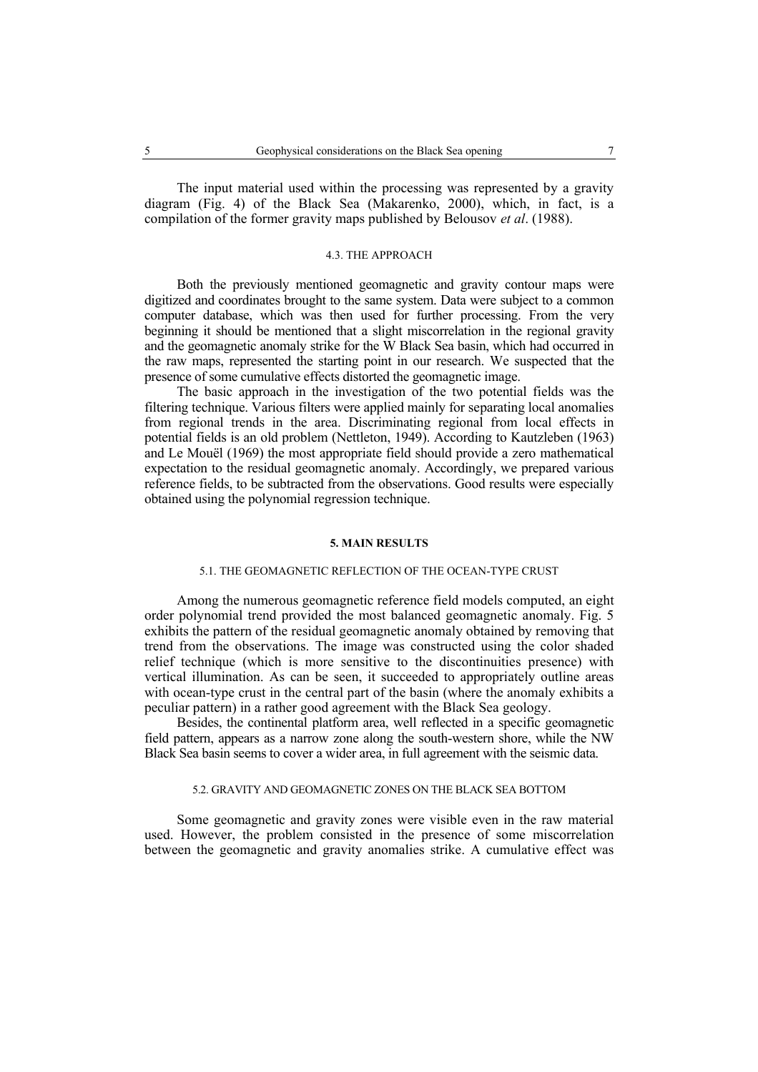The input material used within the processing was represented by a gravity diagram (Fig. 4) of the Black Sea (Makarenko, 2000), which, in fact, is a compilation of the former gravity maps published by Belousov *et al*. (1988).

## 4.3. THE APPROACH

Both the previously mentioned geomagnetic and gravity contour maps were digitized and coordinates brought to the same system. Data were subject to a common computer database, which was then used for further processing. From the very beginning it should be mentioned that a slight miscorrelation in the regional gravity and the geomagnetic anomaly strike for the W Black Sea basin, which had occurred in the raw maps, represented the starting point in our research. We suspected that the presence of some cumulative effects distorted the geomagnetic image.

The basic approach in the investigation of the two potential fields was the filtering technique. Various filters were applied mainly for separating local anomalies from regional trends in the area. Discriminating regional from local effects in potential fields is an old problem (Nettleton, 1949). According to Kautzleben (1963) and Le Mouël (1969) the most appropriate field should provide a zero mathematical expectation to the residual geomagnetic anomaly. Accordingly, we prepared various reference fields, to be subtracted from the observations. Good results were especially obtained using the polynomial regression technique.

#### **5. MAIN RESULTS**

### 5.1. THE GEOMAGNETIC REFLECTION OF THE OCEAN-TYPE CRUST

Among the numerous geomagnetic reference field models computed, an eight order polynomial trend provided the most balanced geomagnetic anomaly. Fig. 5 exhibits the pattern of the residual geomagnetic anomaly obtained by removing that trend from the observations. The image was constructed using the color shaded relief technique (which is more sensitive to the discontinuities presence) with vertical illumination. As can be seen, it succeeded to appropriately outline areas with ocean-type crust in the central part of the basin (where the anomaly exhibits a peculiar pattern) in a rather good agreement with the Black Sea geology.

Besides, the continental platform area, well reflected in a specific geomagnetic field pattern, appears as a narrow zone along the south-western shore, while the NW Black Sea basin seems to cover a wider area, in full agreement with the seismic data.

# 5.2. GRAVITY AND GEOMAGNETIC ZONES ON THE BLACK SEA BOTTOM

Some geomagnetic and gravity zones were visible even in the raw material used. However, the problem consisted in the presence of some miscorrelation between the geomagnetic and gravity anomalies strike. A cumulative effect was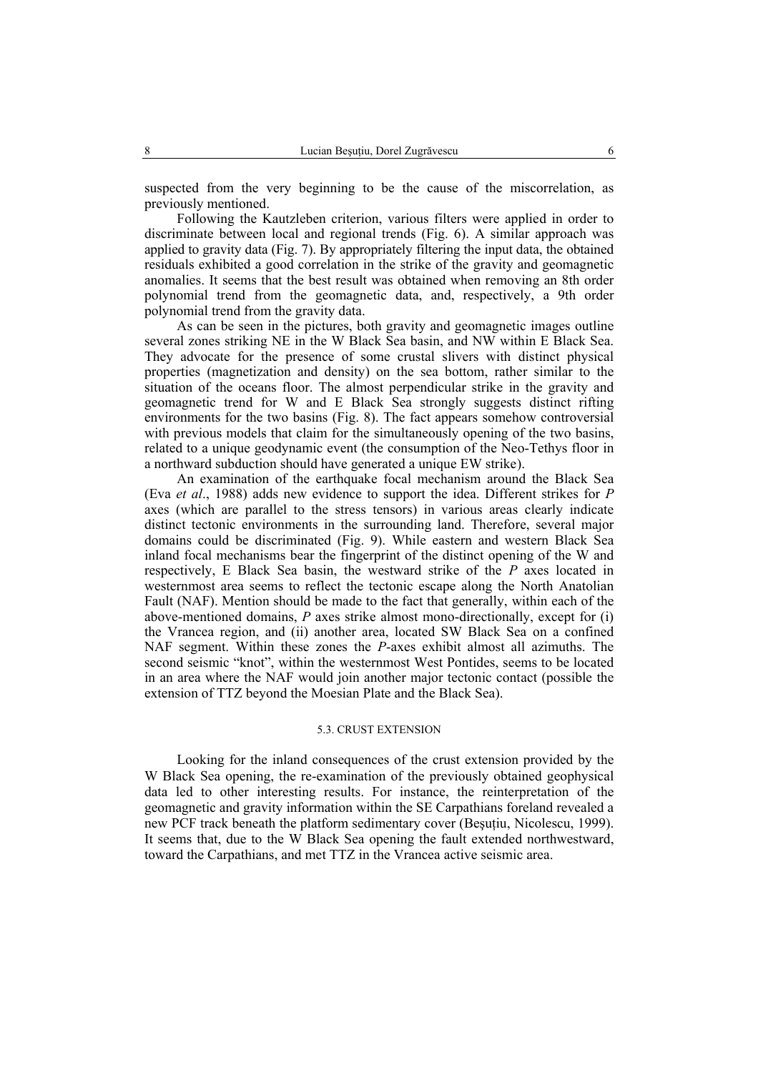suspected from the very beginning to be the cause of the miscorrelation, as previously mentioned.

Following the Kautzleben criterion, various filters were applied in order to discriminate between local and regional trends (Fig. 6). A similar approach was applied to gravity data (Fig. 7). By appropriately filtering the input data, the obtained residuals exhibited a good correlation in the strike of the gravity and geomagnetic anomalies. It seems that the best result was obtained when removing an 8th order polynomial trend from the geomagnetic data, and, respectively, a 9th order polynomial trend from the gravity data.

As can be seen in the pictures, both gravity and geomagnetic images outline several zones striking NE in the W Black Sea basin, and NW within E Black Sea. They advocate for the presence of some crustal slivers with distinct physical properties (magnetization and density) on the sea bottom, rather similar to the situation of the oceans floor. The almost perpendicular strike in the gravity and geomagnetic trend for W and E Black Sea strongly suggests distinct rifting environments for the two basins (Fig. 8). The fact appears somehow controversial with previous models that claim for the simultaneously opening of the two basins, related to a unique geodynamic event (the consumption of the Neo-Tethys floor in a northward subduction should have generated a unique EW strike).

An examination of the earthquake focal mechanism around the Black Sea (Eva *et al*., 1988) adds new evidence to support the idea. Different strikes for *P* axes (which are parallel to the stress tensors) in various areas clearly indicate distinct tectonic environments in the surrounding land. Therefore, several major domains could be discriminated (Fig. 9). While eastern and western Black Sea inland focal mechanisms bear the fingerprint of the distinct opening of the W and respectively, E Black Sea basin, the westward strike of the *P* axes located in westernmost area seems to reflect the tectonic escape along the North Anatolian Fault (NAF). Mention should be made to the fact that generally, within each of the above-mentioned domains, *P* axes strike almost mono-directionally, except for (i) the Vrancea region, and (ii) another area, located SW Black Sea on a confined NAF segment. Within these zones the *P*-axes exhibit almost all azimuths. The second seismic "knot", within the westernmost West Pontides, seems to be located in an area where the NAF would join another major tectonic contact (possible the extension of TTZ beyond the Moesian Plate and the Black Sea).

## 5.3. CRUST EXTENSION

Looking for the inland consequences of the crust extension provided by the W Black Sea opening, the re-examination of the previously obtained geophysical data led to other interesting results. For instance, the reinterpretation of the geomagnetic and gravity information within the SE Carpathians foreland revealed a new PCF track beneath the platform sedimentary cover (Beşuţiu, Nicolescu, 1999). It seems that, due to the W Black Sea opening the fault extended northwestward, toward the Carpathians, and met TTZ in the Vrancea active seismic area.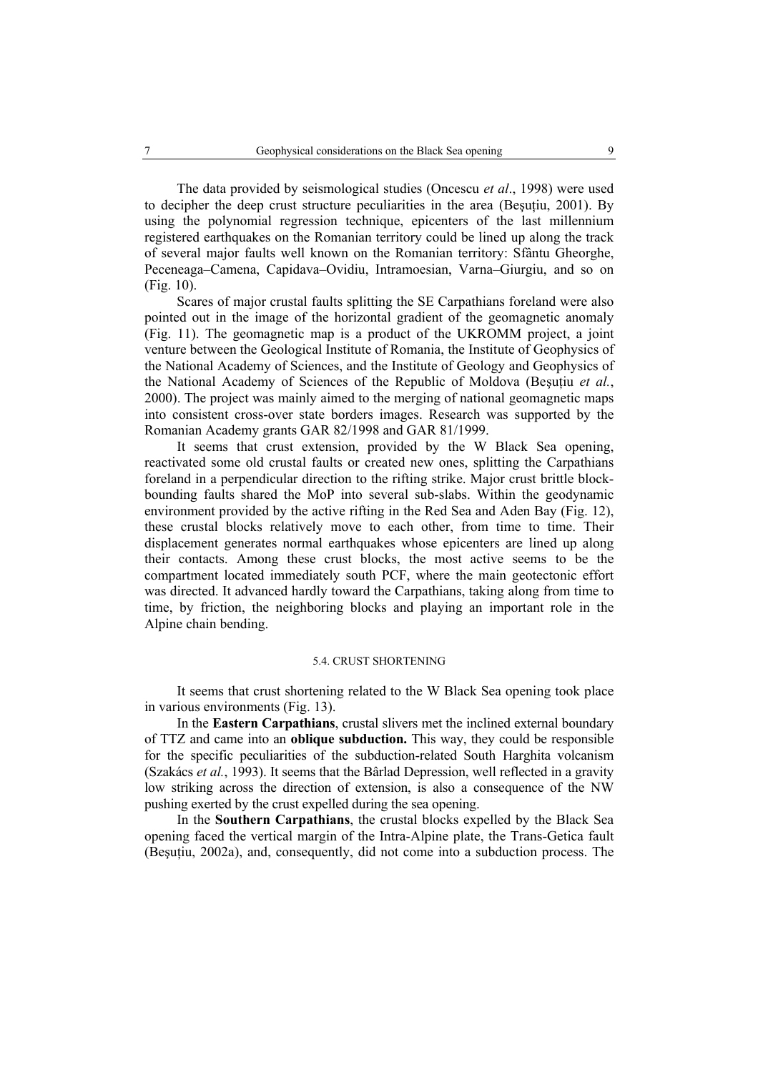The data provided by seismological studies (Oncescu *et al*., 1998) were used to decipher the deep crust structure peculiarities in the area (Beșuțiu, 2001). By using the polynomial regression technique, epicenters of the last millennium registered earthquakes on the Romanian territory could be lined up along the track of several major faults well known on the Romanian territory: Sfântu Gheorghe, Peceneaga–Camena, Capidava–Ovidiu, Intramoesian, Varna–Giurgiu, and so on (Fig. 10).

Scares of major crustal faults splitting the SE Carpathians foreland were also pointed out in the image of the horizontal gradient of the geomagnetic anomaly (Fig. 11). The geomagnetic map is a product of the UKROMM project, a joint venture between the Geological Institute of Romania, the Institute of Geophysics of the National Academy of Sciences, and the Institute of Geology and Geophysics of the National Academy of Sciences of the Republic of Moldova (Beşuţiu *et al.*, 2000). The project was mainly aimed to the merging of national geomagnetic maps into consistent cross-over state borders images. Research was supported by the Romanian Academy grants GAR 82/1998 and GAR 81/1999.

It seems that crust extension, provided by the W Black Sea opening, reactivated some old crustal faults or created new ones, splitting the Carpathians foreland in a perpendicular direction to the rifting strike. Major crust brittle blockbounding faults shared the MoP into several sub-slabs. Within the geodynamic environment provided by the active rifting in the Red Sea and Aden Bay (Fig. 12), these crustal blocks relatively move to each other, from time to time. Their displacement generates normal earthquakes whose epicenters are lined up along their contacts. Among these crust blocks, the most active seems to be the compartment located immediately south PCF, where the main geotectonic effort was directed. It advanced hardly toward the Carpathians, taking along from time to time, by friction, the neighboring blocks and playing an important role in the Alpine chain bending.

#### 5.4. CRUST SHORTENING

It seems that crust shortening related to the W Black Sea opening took place in various environments (Fig. 13).

In the **Eastern Carpathians**, crustal slivers met the inclined external boundary of TTZ and came into an **oblique subduction.** This way, they could be responsible for the specific peculiarities of the subduction-related South Harghita volcanism (Szakács *et al.*, 1993). It seems that the Bârlad Depression, well reflected in a gravity low striking across the direction of extension, is also a consequence of the NW pushing exerted by the crust expelled during the sea opening.

In the **Southern Carpathians**, the crustal blocks expelled by the Black Sea opening faced the vertical margin of the Intra-Alpine plate, the Trans-Getica fault (Beşuţiu, 2002a), and, consequently, did not come into a subduction process. The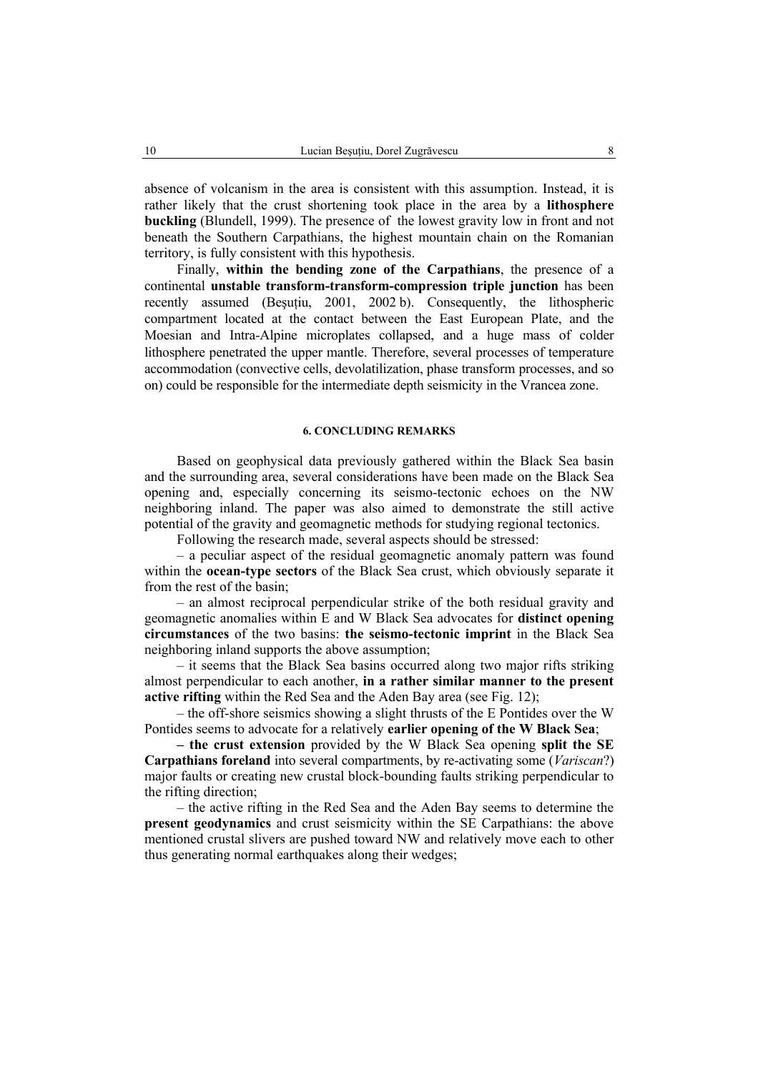absence of volcanism in the area is consistent with this assumption. Instead, it is rather likely that the crust shortening took place in the area by a **lithosphere buckling** (Blundell, 1999). The presence of the lowest gravity low in front and not beneath the Southern Carpathians, the highest mountain chain on the Romanian territory, is fully consistent with this hypothesis.

Finally, **within the bending zone of the Carpathians**, the presence of a continental **unstable transform-transform-compression triple junction** has been recently assumed (Besutiu, 2001, 2002 b). Consequently, the lithospheric compartment located at the contact between the East European Plate, and the Moesian and Intra-Alpine microplates collapsed, and a huge mass of colder lithosphere penetrated the upper mantle. Therefore, several processes of temperature accommodation (convective cells, devolatilization, phase transform processes, and so on) could be responsible for the intermediate depth seismicity in the Vrancea zone.

## **6. CONCLUDING REMARKS**

Based on geophysical data previously gathered within the Black Sea basin and the surrounding area, several considerations have been made on the Black Sea opening and, especially concerning its seismo-tectonic echoes on the NW neighboring inland. The paper was also aimed to demonstrate the still active potential of the gravity and geomagnetic methods for studying regional tectonics.

Following the research made, several aspects should be stressed:

– a peculiar aspect of the residual geomagnetic anomaly pattern was found within the **ocean-type sectors** of the Black Sea crust, which obviously separate it from the rest of the basin;

– an almost reciprocal perpendicular strike of the both residual gravity and geomagnetic anomalies within E and W Black Sea advocates for **distinct opening circumstances** of the two basins: **the seismo-tectonic imprint** in the Black Sea neighboring inland supports the above assumption;

– it seems that the Black Sea basins occurred along two major rifts striking almost perpendicular to each another, **in a rather similar manner to the present active rifting** within the Red Sea and the Aden Bay area (see Fig. 12);

– the off-shore seismics showing a slight thrusts of the E Pontides over the W Pontides seems to advocate for a relatively **earlier opening of the W Black Sea**;

**– the crust extension** provided by the W Black Sea opening **split the SE Carpathians foreland** into several compartments, by re-activating some (*Variscan*?) major faults or creating new crustal block-bounding faults striking perpendicular to the rifting direction;

– the active rifting in the Red Sea and the Aden Bay seems to determine the **present geodynamics** and crust seismicity within the SE Carpathians: the above mentioned crustal slivers are pushed toward NW and relatively move each to other thus generating normal earthquakes along their wedges;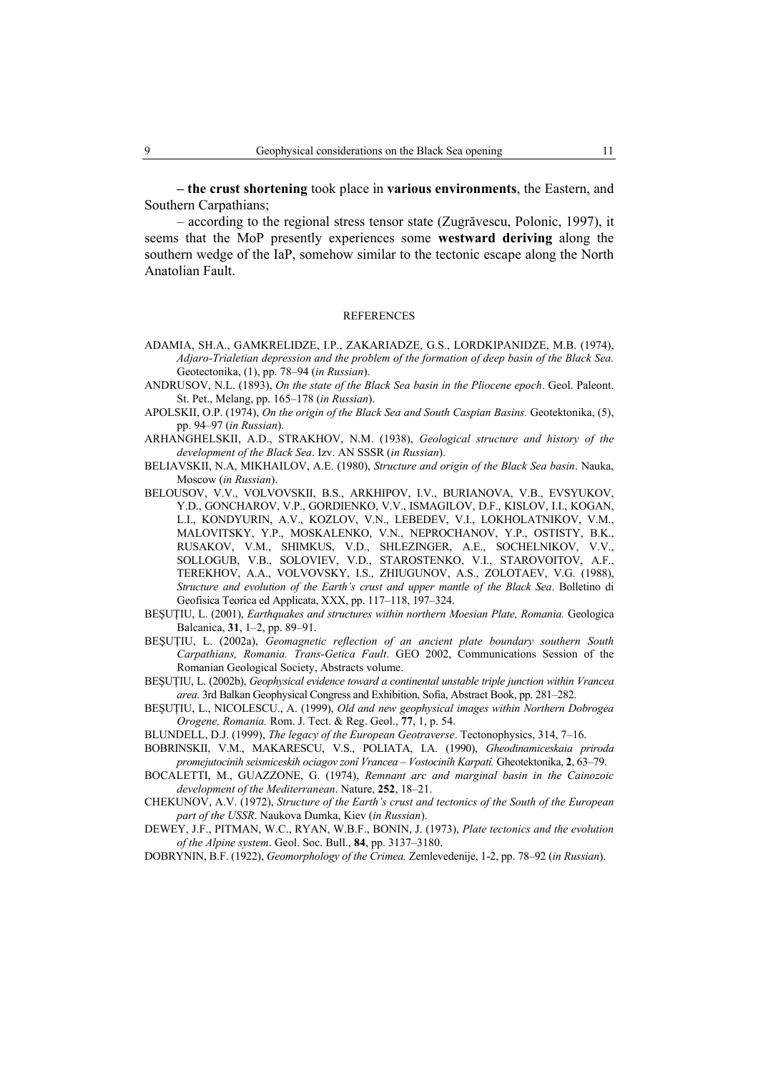**– the crust shortening** took place in **various environments**, the Eastern, and Southern Carpathians;

– according to the regional stress tensor state (Zugrăvescu, Polonic, 1997), it seems that the MoP presently experiences some **westward deriving** along the southern wedge of the IaP, somehow similar to the tectonic escape along the North Anatolian Fault.

#### **REFERENCES**

- ADAMIA, SH.A., GAMKRELIDZE, I.P., ZAKARIADZE, G.S., LORDKIPANIDZE, M.B. (1974), *Adjaro-Trialetian depression and the problem of the formation of deep basin of the Black Sea.*  Geotectonika, (1), pp. 78–94 (*in Russian*).
- ANDRUSOV, N.L. (1893), *On the state of the Black Sea basin in the Pliocene epoch*. Geol. Paleont. St. Pet., Melang, pp. 165–178 (*in Russian*).
- APOLSKII, O.P. (1974), *On the origin of the Black Sea and South Caspian Basins.* Geotektonika, (5), pp. 94–97 (*in Russian*).
- ARHANGHELSKII, A.D., STRAKHOV, N.M. (1938), *Geological structure and history of the development of the Black Sea*. Izv. AN SSSR (*in Russian*).
- BELIAVSKII, N.A, MIKHAILOV, A.E. (1980), *Structure and origin of the Black Sea basin*. Nauka, Moscow (*in Russian*).
- BELOUSOV, V.V., VOLVOVSKII, B.S., ARKHIPOV, I.V., BURIANOVA, V.B., EVSYUKOV, Y.D., GONCHAROV, V.P., GORDIENKO, V.V., ISMAGILOV, D.F., KISLOV, I.I., KOGAN, L.I., KONDYURIN, A.V., KOZLOV, V.N., LEBEDEV, V.I., LOKHOLATNIKOV, V.M., MALOVITSKY, Y.P., MOSKALENKO, V.N., NEPROCHANOV, Y.P., OSTISTY, B.K., RUSAKOV, V.M., SHIMKUS, V.D., SHLEZINGER, A.E., SOCHELNIKOV, V.V., SOLLOGUB, V.B., SOLOVIEV, V.D., STAROSTENKO, V.I., STAROVOITOV, A.F., TEREKHOV, A.A., VOLVOVSKY, I.S., ZHIUGUNOV, A.S., ZOLOTAEV, V.G. (1988), *Structure and evolution of the Earth's crust and upper mantle of the Black Sea*. Bolletino di Geofisica Teorica ed Applicata, XXX, pp. 117–118, 197–324.
- BEŞUȚIU, L. (2001), *Earthquakes and structures within northern Moesian Plate, Romania.* Geologica Balcanica, **31**, 1–2, pp. 89–91.
- BESUTIU, L. (2002a), *Geomagnetic reflection of an ancient plate boundary southern South Carpathians, Romania. Trans-Getica Fault*. GEO 2002, Communications Session of the Romanian Geological Society, Abstracts volume.
- BEŞUŢIU, L. (2002b), *Geophysical evidence toward a continental unstable triple junction within Vrancea area*. 3rd Balkan Geophysical Congress and Exhibition, Sofia, Abstract Book, pp. 281–282.
- BEŞUŢIU, L., NICOLESCU., A. (1999), *Old and new geophysical images within Northern Dobrogea Orogene, Romania.* Rom. J. Tect. & Reg. Geol., **77**, 1, p. 54.
- BLUNDELL, D.J. (1999), *The legacy of the European Geotraverse*. Tectonophysics, 314, 7–16.
- BOBRINSKII, V.M., MAKARESCU, V.S., POLIATA, I.A. (1990), *Gheodinamiceskaia priroda promejutocinih seismiceskih ociagov zonî Vrancea – Vostocinîh Karpatî.* Gheotektonika, **2**, 63–79.
- BOCALETTI, M., GUAZZONE, G. (1974), *Remnant arc and marginal basin in the Cainozoic development of the Mediterranean*. Nature, **252**, 18–21.
- CHEKUNOV, A.V. (1972), *Structure of the Earth's crust and tectonics of the South of the European part of the USSR*. Naukova Dumka, Kiev (*in Russian*).
- DEWEY, J.F., PITMAN, W.C., RYAN, W.B.F., BONIN, J. (1973), *Plate tectonics and the evolution of the Alpine system*. Geol. Soc. Bull., **84**, pp. 3137–3180.

DOBRYNIN, B.F. (1922), *Geomorphology of the Crimea.* Zemlevedenije, 1-2, pp. 78–92 (*in Russian*).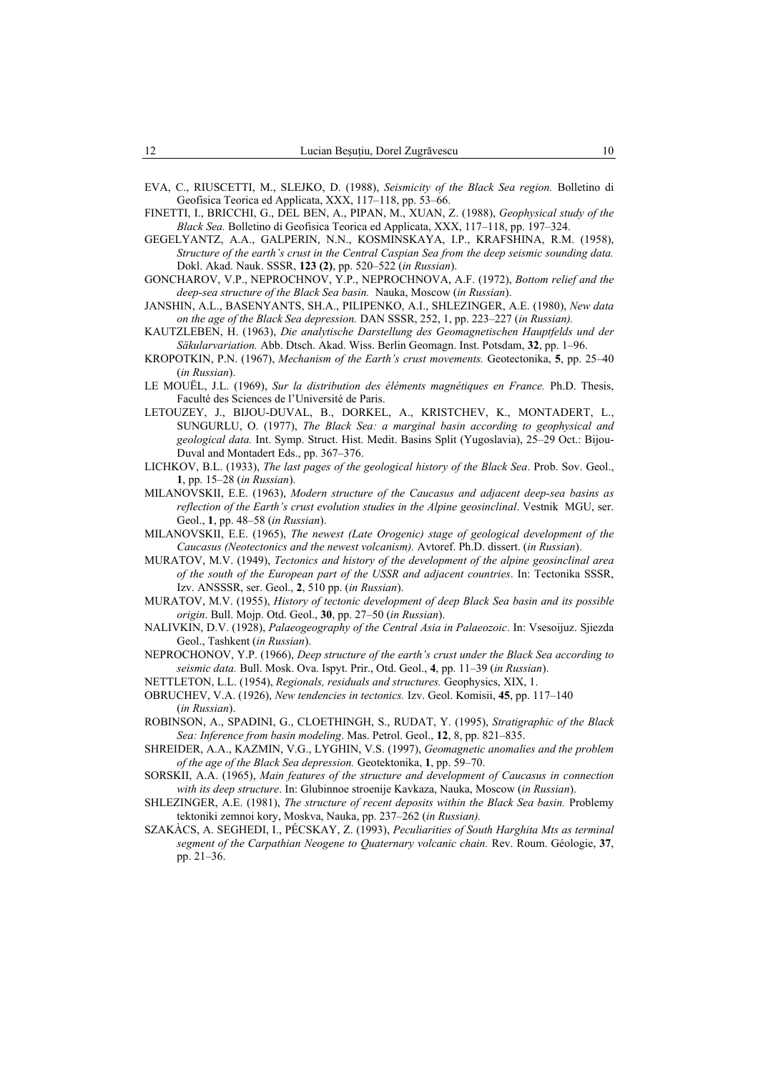- EVA, C., RIUSCETTI, M., SLEJKO, D. (1988), *Seismicity of the Black Sea region.* Bolletino di Geofisica Teorica ed Applicata, XXX, 117–118, pp. 53–66.
- FINETTI, I., BRICCHI, G., DEL BEN, A., PIPAN, M., XUAN, Z. (1988), *Geophysical study of the Black Sea.* Bolletino di Geofisica Teorica ed Applicata, XXX, 117–118, pp. 197–324.
- GEGELYANTZ, A.A., GALPERIN, N.N., KOSMINSKAYA, I.P., KRAFSHINA, R.M. (1958), *Structure of the earth's crust in the Central Caspian Sea from the deep seismic sounding data.*  Dokl. Akad. Nauk. SSSR, **123 (2)**, pp. 520–522 (*in Russian*).
- GONCHAROV, V.P., NEPROCHNOV, Y.P., NEPROCHNOVA, A.F. (1972), *Bottom relief and the deep-sea structure of the Black Sea basin.* Nauka, Moscow (*in Russian*).
- JANSHIN, A.L., BASENYANTS, SH.A., PILIPENKO, A.I., SHLEZINGER, A.E. (1980), *New data on the age of the Black Sea depression.* DAN SSSR, 252, 1, pp. 223–227 (*in Russian).*
- KAUTZLEBEN, H. (1963), *Die analytische Darstellung des Geomagnetischen Hauptfelds und der Säkularvariation.* Abb. Dtsch. Akad. Wiss. Berlin Geomagn. Inst. Potsdam, **32**, pp. 1–96.
- KROPOTKIN, P.N. (1967), *Mechanism of the Earth's crust movements.* Geotectonika, **5**, pp. 25–40 (*in Russian*).
- LE MOUËL, J.L. (1969), *Sur la distribution des éléments magnétiques en France.* Ph.D. Thesis, Faculté des Sciences de l'Université de Paris.
- LETOUZEY, J., BIJOU-DUVAL, B., DORKEL, A., KRISTCHEV, K., MONTADERT, L., SUNGURLU, O. (1977), *The Black Sea: a marginal basin according to geophysical and geological data.* Int. Symp. Struct. Hist. Medit. Basins Split (Yugoslavia), 25–29 Oct.: Bijou-Duval and Montadert Eds., pp. 367–376.
- LICHKOV, B.L. (1933), *The last pages of the geological history of the Black Sea*. Prob. Sov. Geol., **1**, pp. 15–28 (*in Russian*).
- MILANOVSKII, E.E. (1963), *Modern structure of the Caucasus and adjacent deep-sea basins as reflection of the Earth's crust evolution studies in the Alpine geosinclinal*. Vestnik MGU, ser. Geol., **1**, pp. 48–58 (*in Russian*).
- MILANOVSKII, E.E. (1965), *The newest (Late Orogenic) stage of geological development of the Caucasus (Neotectonics and the newest volcanism).* Avtoref. Ph.D. dissert. (*in Russian*).
- MURATOV, M.V. (1949), *Tectonics and history of the development of the alpine geosinclinal area of the south of the European part of the USSR and adjacent countries*. In: Tectonika SSSR, Izv. ANSSSR, ser. Geol., **2**, 510 pp. (*in Russian*).
- MURATOV, M.V. (1955), *History of tectonic development of deep Black Sea basin and its possible origin*. Bull. Mojp. Otd. Geol., **30**, pp. 27–50 (*in Russian*).
- NALIVKIN, D.V. (1928), *Palaeogeography of the Central Asia in Palaeozoic*. In: Vsesoijuz. Sjiezda Geol., Tashkent (*in Russian*).
- NEPROCHONOV, Y.P. (1966), *Deep structure of the earth's crust under the Black Sea according to seismic data.* Bull. Mosk. Ova. Ispyt. Prir., Otd. Geol., **4**, pp. 11–39 (*in Russian*).
- NETTLETON, L.L. (1954), *Regionals, residuals and structures.* Geophysics, XIX, 1.
- OBRUCHEV, V.A. (1926), *New tendencies in tectonics.* Izv. Geol. Komisii, **45**, pp. 117–140 (*in Russian*).
- ROBINSON, A., SPADINI, G., CLOETHINGH, S., RUDAT, Y. (1995), *Stratigraphic of the Black Sea: Inference from basin modeling*. Mas. Petrol. Geol., **12**, 8, pp. 821–835.
- SHREIDER, A.A., KAZMIN, V.G., LYGHIN, V.S. (1997), *Geomagnetic anomalies and the problem of the age of the Black Sea depression.* Geotektonika, **1**, pp. 59–70.
- SORSKII, A.A. (1965), *Main features of the structure and development of Caucasus in connection with its deep structure*. In: Glubinnoe stroenije Kavkaza, Nauka, Moscow (*in Russian*).
- SHLEZINGER, A.E. (1981), *The structure of recent deposits within the Black Sea basin.* Problemy tektoniki zemnoi kory, Moskva, Nauka, pp. 237–262 (*in Russian).*
- SZAKÀCS, A. SEGHEDI, I., PÉCSKAY, Z. (1993), *Peculiarities of South Harghita Mts as terminal segment of the Carpathian Neogene to Quaternary volcanic chain.* Rev. Roum. Géologie, **37**, pp. 21–36.